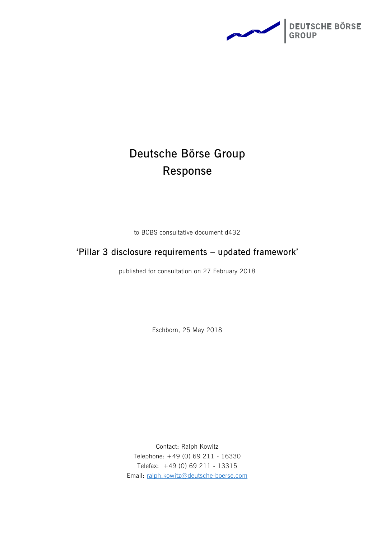

# **Deutsche Börse Group Response**

to BCBS consultative document d432

## **'Pillar 3 disclosure requirements – updated framework'**

published for consultation on 27 February 2018

Eschborn, 25 May 2018

Contact: Ralph Kowitz Telephone: +49 (0) 69 211 - 16330 Telefax: +49 (0) 69 211 - 13315 Email: [ralph.kowitz@deutsche-boerse.com](mailto:ralph.kowitz@deutsche-boerse.com)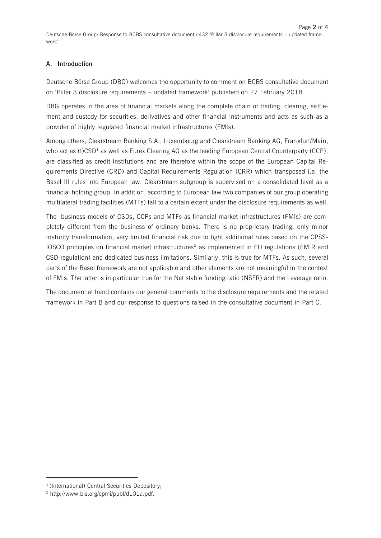### **A. Introduction**

Deutsche Börse Group (DBG) welcomes the opportunity to comment on BCBS consultative document on 'Pillar 3 disclosure requirements – updated framework' published on 27 February 2018.

DBG operates in the area of financial markets along the complete chain of trading, clearing, settlement and custody for securities, derivatives and other financial instruments and acts as such as a provider of highly regulated financial market infrastructures (FMIs).

Among others, Clearstream Banking S.A., Luxembourg and Clearstream Banking AG, Frankfurt/Main, who act as (I)CSD<sup>1</sup> as well as Eurex Clearing AG as the leading European Central Counterparty (CCP), are classified as credit institutions and are therefore within the scope of the European Capital Requirements Directive (CRD) and Capital Requirements Regulation (CRR) which transposed i.a. the Basel III rules into European law. Clearstream subgroup is supervised on a consolidated level as a financial holding group. In addition, according to European law two companies of our group operating multilateral trading facilities (MTFs) fall to a certain extent under the disclosure requirements as well.

The business models of CSDs, CCPs and MTFs as financial market infrastructures (FMIs) are completely different from the business of ordinary banks. There is no proprietary trading, only minor maturity transformation, very limited financial risk due to tight additional rules based on the CPSS-IOSCO principles on financial market infrastructures<sup>2</sup> as implemented in EU regulations (EMIR and CSD-regulation) and dedicated business limitations. Similarly, this is true for MTFs. As such, several parts of the Basel framework are not applicable and other elements are not meaningful in the context of FMIs. The latter is in particular true for the Net stable funding ratio (NSFR) and the Leverage ratio.

The document at hand contains our general comments to the disclosure requirements and the related framework in Part B and our response to questions raised in the consultative document in Part C.

 $\overline{a}$ 

<sup>&</sup>lt;sup>1</sup> (International) Central Securities Depository;

<sup>2</sup> http://www.bis.org/cpmi/publ/d101a.pdf.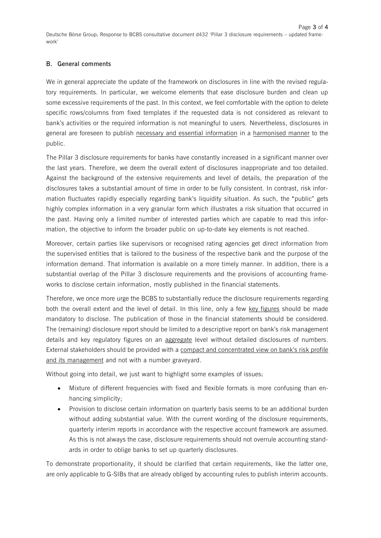#### **B. General comments**

We in general appreciate the update of the framework on disclosures in line with the revised regulatory requirements. In particular, we welcome elements that ease disclosure burden and clean up some excessive requirements of the past. In this context, we feel comfortable with the option to delete specific rows/columns from fixed templates if the requested data is not considered as relevant to bank's activities or the required information is not meaningful to users. Nevertheless, disclosures in general are foreseen to publish necessary and essential information in a harmonised manner to the public.

The Pillar 3 disclosure requirements for banks have constantly increased in a significant manner over the last years. Therefore, we deem the overall extent of disclosures inappropriate and too detailed. Against the background of the extensive requirements and level of details, the preparation of the disclosures takes a substantial amount of time in order to be fully consistent. In contrast, risk information fluctuates rapidly especially regarding bank's liquidity situation. As such, the "public" gets highly complex information in a very granular form which illustrates a risk situation that occurred in the past. Having only a limited number of interested parties which are capable to read this information, the objective to inform the broader public on up-to-date key elements is not reached.

Moreover, certain parties like supervisors or recognised rating agencies get direct information from the supervised entities that is tailored to the business of the respective bank and the purpose of the information demand. That information is available on a more timely manner. In addition, there is a substantial overlap of the Pillar 3 disclosure requirements and the provisions of accounting frameworks to disclose certain information, mostly published in the financial statements.

Therefore, we once more urge the BCBS to substantially reduce the disclosure requirements regarding both the overall extent and the level of detail. In this line, only a few key figures should be made mandatory to disclose. The publication of those in the financial statements should be considered. The (remaining) disclosure report should be limited to a descriptive report on bank's risk management details and key regulatory figures on an aggregate level without detailed disclosures of numbers. External stakeholders should be provided with a compact and concentrated view on bank's risk profile and its management and not with a number graveyard.

Without going into detail, we just want to highlight some examples of issues:

- Mixture of different frequencies with fixed and flexible formats is more confusing than enhancing simplicity;
- Provision to disclose certain information on quarterly basis seems to be an additional burden without adding substantial value. With the current wording of the disclosure requirements, quarterly interim reports in accordance with the respective account framework are assumed. As this is not always the case, disclosure requirements should not overrule accounting standards in order to oblige banks to set up quarterly disclosures.

To demonstrate proportionality, it should be clarified that certain requirements, like the latter one, are only applicable to G-SIBs that are already obliged by accounting rules to publish interim accounts.